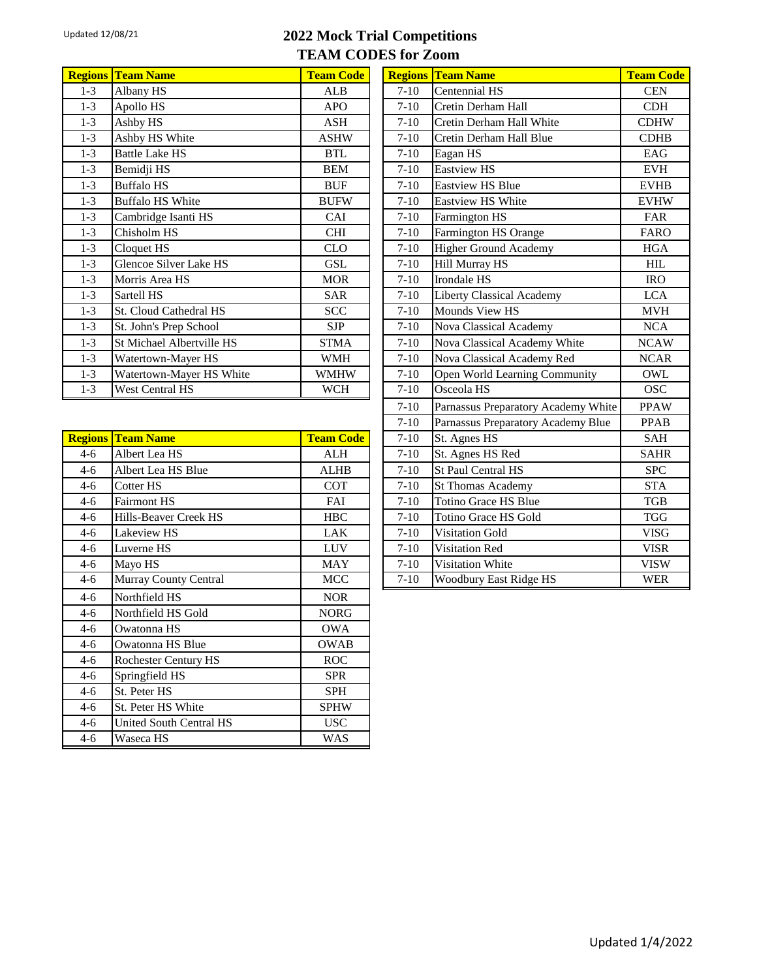## Updated 12/08/21 **2022 Mock Trial Competitions TEAM CODES for Zoom**

| <b>Regions</b> | <b>Team Name</b>          | <b>Team Code</b> | <b>Regions</b> | Team Name                        | <b>Team Code</b> |
|----------------|---------------------------|------------------|----------------|----------------------------------|------------------|
| $1 - 3$        | Albany HS                 | ALB              | $7-10$         | Centennial HS                    | <b>CEN</b>       |
| $1 - 3$        | Apollo HS                 | <b>APO</b>       | $7-10$         | Cretin Derham Hall               | <b>CDH</b>       |
| $1 - 3$        | Ashby HS                  | <b>ASH</b>       | $7 - 10$       | Cretin Derham Hall White         | <b>CDHW</b>      |
| $1 - 3$        | Ashby HS White            | <b>ASHW</b>      | $7-10$         | Cretin Derham Hall Blue          | <b>CDHB</b>      |
| $1 - 3$        | <b>Battle Lake HS</b>     | <b>BTL</b>       | $7-10$         | Eagan HS                         | EAG              |
| $1-3$          | Bemidji HS                | <b>BEM</b>       | $7-10$         | <b>Eastview HS</b>               | <b>EVH</b>       |
| $1 - 3$        | <b>Buffalo HS</b>         | <b>BUF</b>       | $7-10$         | <b>Eastview HS Blue</b>          | <b>EVHB</b>      |
| $1 - 3$        | <b>Buffalo HS White</b>   | <b>BUFW</b>      | $7-10$         | <b>Eastview HS White</b>         | <b>EVHW</b>      |
| $1 - 3$        | Cambridge Isanti HS       | <b>CAI</b>       | $7-10$         | Farmington HS                    | <b>FAR</b>       |
| $1 - 3$        | Chisholm HS               | <b>CHI</b>       | $7-10$         | Farmington HS Orange             | <b>FARO</b>      |
| $1 - 3$        | Cloquet HS                | <b>CLO</b>       | $7-10$         | <b>Higher Ground Academy</b>     | <b>HGA</b>       |
| $1 - 3$        | Glencoe Silver Lake HS    | GSL              | $7-10$         | <b>Hill Murray HS</b>            | HIL              |
| $1 - 3$        | Morris Area HS            | <b>MOR</b>       | $7-10$         | Irondale HS                      | <b>IRO</b>       |
| $1-3$          | Sartell HS                | <b>SAR</b>       | $7-10$         | <b>Liberty Classical Academy</b> | <b>LCA</b>       |
| $1 - 3$        | St. Cloud Cathedral HS    | <b>SCC</b>       | $7-10$         | Mounds View HS                   | <b>MVH</b>       |
| $1 - 3$        | St. John's Prep School    | <b>SJP</b>       | $7-10$         | Nova Classical Academy           | <b>NCA</b>       |
| $1 - 3$        | St Michael Albertville HS | <b>STMA</b>      | $7-10$         | Nova Classical Academy White     | <b>NCAW</b>      |
| $1 - 3$        | Watertown-Mayer HS        | <b>WMH</b>       | $7-10$         | Nova Classical Academy Red       | <b>NCAR</b>      |
| $1 - 3$        | Watertown-Mayer HS White  | <b>WMHW</b>      | $7-10$         | Open World Learning Community    | OWL              |
| $1 - 3$        | West Central HS           | <b>WCH</b>       | $7-10$         | Osceola HS                       | <b>OSC</b>       |

|       | <b>Regions Team Name</b>       | <b>Team Code</b> | $7-10$   | St. Agnes HS              | SAH         |
|-------|--------------------------------|------------------|----------|---------------------------|-------------|
| $4-6$ | Albert Lea HS                  | <b>ALH</b>       | $7-10$   | St. Agnes HS Red          | <b>SAHR</b> |
| $4-6$ | Albert Lea HS Blue             | <b>ALHB</b>      | $7 - 10$ | <b>St Paul Central HS</b> | <b>SPC</b>  |
| $4-6$ | Cotter HS                      | <b>COT</b>       | $7-10$   | <b>St Thomas Academy</b>  | STA         |
| $4-6$ | <b>Fairmont HS</b>             | FAI              | $7-10$   | Totino Grace HS Blue      | TGB         |
| $4-6$ | Hills-Beaver Creek HS          | <b>HBC</b>       | $7 - 10$ | Totino Grace HS Gold      | TGG         |
| $4-6$ | Lakeview HS                    | <b>LAK</b>       | $7-10$   | <b>Visitation Gold</b>    | <b>VISG</b> |
| $4-6$ | Luverne HS                     | <b>LUV</b>       | $7-10$   | Visitation Red            | <b>VISR</b> |
| $4-6$ | Mayo HS                        | <b>MAY</b>       | $7-10$   | <b>Visitation White</b>   | <b>VISW</b> |
| $4-6$ | Murray County Central          | <b>MCC</b>       | $7-10$   | Woodbury East Ridge HS    | <b>WER</b>  |
| $4-6$ | Northfield HS                  | <b>NOR</b>       |          |                           |             |
| $4-6$ | Northfield HS Gold             | <b>NORG</b>      |          |                           |             |
| $4-6$ | Owatonna HS                    | <b>OWA</b>       |          |                           |             |
| $4-6$ | Owatonna HS Blue               | OWAB             |          |                           |             |
| $4-6$ | <b>Rochester Century HS</b>    | ROC              |          |                           |             |
| $4-6$ | Springfield HS                 | <b>SPR</b>       |          |                           |             |
| $4-6$ | St. Peter HS                   | <b>SPH</b>       |          |                           |             |
| $4-6$ | St. Peter HS White             | <b>SPHW</b>      |          |                           |             |
| $4-6$ | <b>United South Central HS</b> | USC              |          |                           |             |
| $4-6$ | Waseca HS                      | <b>WAS</b>       |          |                           |             |
|       |                                |                  |          |                           |             |

| <b>Regions</b> | <b>Team Name</b>                    | <b>Team Code</b> |
|----------------|-------------------------------------|------------------|
| $7 - 10$       | Centennial HS                       | <b>CEN</b>       |
| $7 - 10$       | Cretin Derham Hall                  | <b>CDH</b>       |
| $7-10$         | Cretin Derham Hall White            | <b>CDHW</b>      |
| $7 - 10$       | Cretin Derham Hall Blue             | <b>CDHB</b>      |
| $7 - 10$       | Eagan HS                            | EAG              |
| $7 - 10$       | <b>Eastview HS</b>                  | <b>EVH</b>       |
|                | <b>Eastview HS Blue</b>             |                  |
| $7 - 10$       |                                     | <b>EVHB</b>      |
| $7 - 10$       | <b>Eastview HS White</b>            | <b>EVHW</b>      |
| $7 - 10$       | Farmington HS                       | <b>FAR</b>       |
| $7 - 10$       | Farmington HS Orange                | <b>FARO</b>      |
| $7 - 10$       | <b>Higher Ground Academy</b>        | <b>HGA</b>       |
| $7 - 10$       | Hill Murray HS                      | HIL              |
| $7 - 10$       | Irondale HS                         | <b>IRO</b>       |
| $7 - 10$       | <b>Liberty Classical Academy</b>    | <b>LCA</b>       |
| $7 - 10$       | Mounds View HS                      | <b>MVH</b>       |
| $7 - 10$       | Nova Classical Academy              | <b>NCA</b>       |
| $7 - 10$       | Nova Classical Academy White        | <b>NCAW</b>      |
| $7 - 10$       | Nova Classical Academy Red          | <b>NCAR</b>      |
| $7 - 10$       | Open World Learning Community       | OWL              |
| $7 - 10$       | Osceola HS                          | <b>OSC</b>       |
| $7 - 10$       | Parnassus Preparatory Academy White | <b>PPAW</b>      |
| $7 - 10$       | Parnassus Preparatory Academy Blue  | <b>PPAB</b>      |
| $7 - 10$       | St. Agnes HS                        | <b>SAH</b>       |
| $7 - 10$       | St. Agnes HS Red                    | <b>SAHR</b>      |
| $7 - 10$       | St Paul Central HS                  | <b>SPC</b>       |
| $7 - 10$       | St Thomas Academy                   | <b>STA</b>       |
| $7 - 10$       | <b>Totino Grace HS Blue</b>         | <b>TGB</b>       |
| $7 - 10$       | Totino Grace HS Gold                | <b>TGG</b>       |
| $7 - 10$       | <b>Visitation Gold</b>              | <b>VISG</b>      |
| $7 - 10$       | <b>Visitation Red</b>               | <b>VISR</b>      |
| $7 - 10$       | Visitation White                    | <b>VISW</b>      |
| $7 - 10$       | Woodbury East Ridge HS              | <b>WER</b>       |